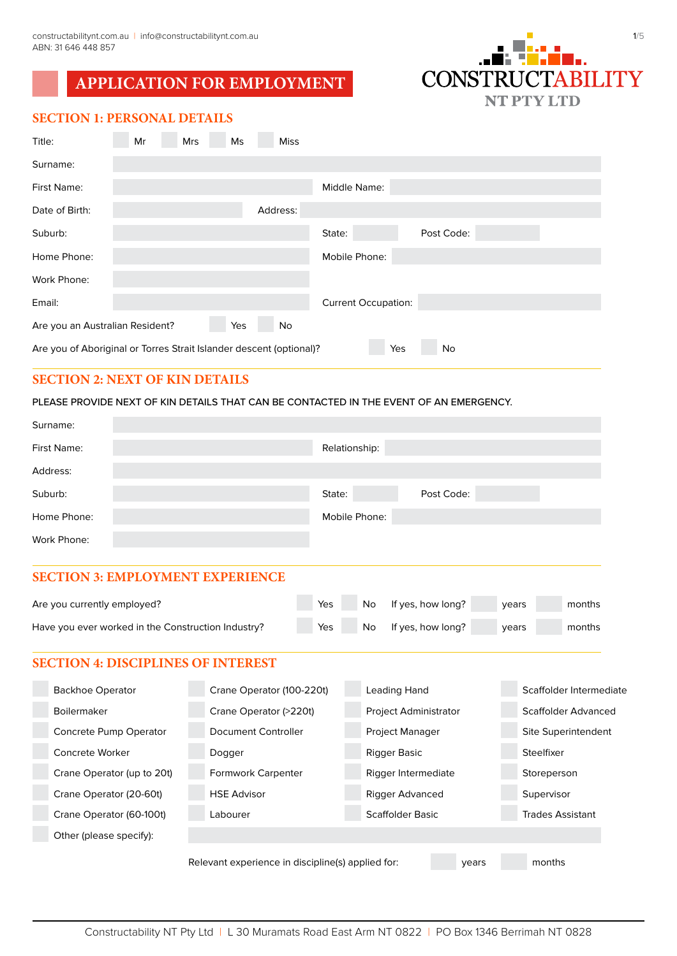# **APPLICATION FOR EMPLOYMENT**



# **SECTION 1: PERSONAL DETAILS**

| Title:                                                              | Mr | <b>Mrs</b> | Ms | <b>Miss</b> |                            |     |            |  |
|---------------------------------------------------------------------|----|------------|----|-------------|----------------------------|-----|------------|--|
| Surname:                                                            |    |            |    |             |                            |     |            |  |
| First Name:                                                         |    |            |    |             | Middle Name:               |     |            |  |
| Date of Birth:                                                      |    |            |    | Address:    |                            |     |            |  |
| Suburb:                                                             |    |            |    |             | State:                     |     | Post Code: |  |
| Home Phone:                                                         |    |            |    |             | Mobile Phone:              |     |            |  |
| Work Phone:                                                         |    |            |    |             |                            |     |            |  |
| Email:                                                              |    |            |    |             | <b>Current Occupation:</b> |     |            |  |
| Are you an Australian Resident?<br>Yes<br>No                        |    |            |    |             |                            |     |            |  |
| Are you of Aboriginal or Torres Strait Islander descent (optional)? |    |            |    |             |                            | Yes | No         |  |

# **SECTION 2: NEXT OF KIN DETAILS**

#### PLEASE PROVIDE NEXT OF KIN DETAILS THAT CAN BE CONTACTED IN THE EVENT OF AN EMERGENCY.

| Surname:    |               |            |
|-------------|---------------|------------|
| First Name: | Relationship: |            |
| Address:    |               |            |
| Suburb:     | State:        | Post Code: |
| Home Phone: | Mobile Phone: |            |
| Work Phone: |               |            |

#### **SECTION 3: EMPLOYMENT EXPERIENCE**

| Are you currently employed?                        | <b>Yes</b> | No. | If yes, how long? | years | months |
|----------------------------------------------------|------------|-----|-------------------|-------|--------|
| Have you ever worked in the Construction Industry? | <b>Yes</b> | No. | If yes, how long? | vears | months |

### **SECTION 4: DISCIPLINES OF INTEREST**

| <b>Backhoe Operator</b>    | Crane Operator (100-220t)                                            | Leading Hand                 | Scaffolder Intermediate |  |  |  |
|----------------------------|----------------------------------------------------------------------|------------------------------|-------------------------|--|--|--|
| <b>Boilermaker</b>         | Crane Operator (>220t)                                               | <b>Project Administrator</b> | Scaffolder Advanced     |  |  |  |
| Concrete Pump Operator     | Document Controller                                                  | <b>Project Manager</b>       | Site Superintendent     |  |  |  |
| Concrete Worker            | Dogger                                                               | Rigger Basic                 | Steelfixer              |  |  |  |
| Crane Operator (up to 20t) | <b>Formwork Carpenter</b>                                            | Rigger Intermediate          | Storeperson             |  |  |  |
| Crane Operator (20-60t)    | <b>HSE Advisor</b>                                                   | Rigger Advanced              | Supervisor              |  |  |  |
| Crane Operator (60-100t)   | Labourer                                                             | Scaffolder Basic             | <b>Trades Assistant</b> |  |  |  |
| Other (please specify):    |                                                                      |                              |                         |  |  |  |
|                            | Relevant experience in discipline(s) applied for:<br>months<br>years |                              |                         |  |  |  |

Constructability NT Pty Ltd | L 30 Muramats Road East Arm NT 0822 | PO Box 1346 Berrimah NT 0828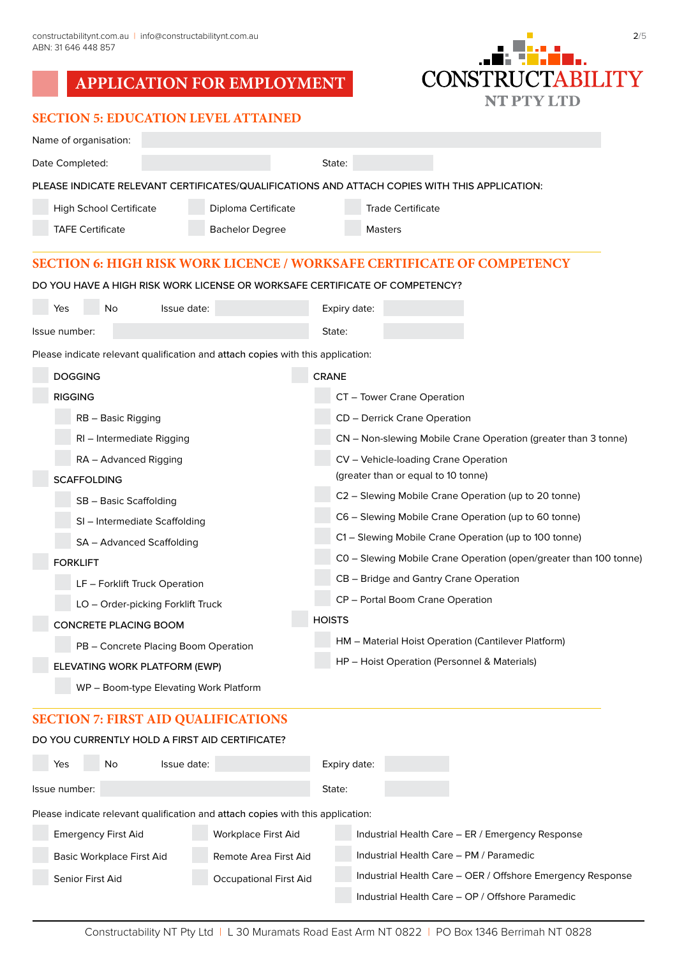# **APPLICATION FOR EMPLOYMENT**

# **SECTION 5: EDUCATION LEVEL ATTAINED Contract Contract Contract**

| 2/5                     |  |
|-------------------------|--|
| .                       |  |
|                         |  |
| <b>CONSTRUCTABILITY</b> |  |
| NT PTY LTD              |  |

| Name of organisation:             |                                                                                 |                                                                                               |  |  |  |  |
|-----------------------------------|---------------------------------------------------------------------------------|-----------------------------------------------------------------------------------------------|--|--|--|--|
| Date Completed:                   |                                                                                 | State:                                                                                        |  |  |  |  |
|                                   |                                                                                 | PLEASE INDICATE RELEVANT CERTIFICATES/QUALIFICATIONS AND ATTACH COPIES WITH THIS APPLICATION: |  |  |  |  |
| <b>High School Certificate</b>    | Diploma Certificate                                                             | <b>Trade Certificate</b>                                                                      |  |  |  |  |
| <b>TAFE Certificate</b>           | <b>Bachelor Degree</b>                                                          | <b>Masters</b>                                                                                |  |  |  |  |
|                                   |                                                                                 | <b>SECTION 6: HIGH RISK WORK LICENCE / WORKSAFE CERTIFICATE OF COMPETENCY</b>                 |  |  |  |  |
|                                   |                                                                                 | DO YOU HAVE A HIGH RISK WORK LICENSE OR WORKSAFE CERTIFICATE OF COMPETENCY?                   |  |  |  |  |
| No<br>Yes                         | Issue date:                                                                     | Expiry date:                                                                                  |  |  |  |  |
| Issue number:                     |                                                                                 | State:                                                                                        |  |  |  |  |
|                                   | Please indicate relevant qualification and attach copies with this application: |                                                                                               |  |  |  |  |
| <b>DOGGING</b>                    |                                                                                 | <b>CRANE</b>                                                                                  |  |  |  |  |
| <b>RIGGING</b>                    |                                                                                 | CT - Tower Crane Operation                                                                    |  |  |  |  |
| RB - Basic Rigging                |                                                                                 | <b>CD</b> – Derrick Crane Operation                                                           |  |  |  |  |
| RI – Intermediate Rigging         |                                                                                 | CN – Non-slewing Mobile Crane Operation (greater than 3 tonne)                                |  |  |  |  |
| RA – Advanced Rigging             |                                                                                 | CV - Vehicle-loading Crane Operation                                                          |  |  |  |  |
| <b>SCAFFOLDING</b>                |                                                                                 | (greater than or equal to 10 tonne)                                                           |  |  |  |  |
| SB - Basic Scaffolding            |                                                                                 | C2 - Slewing Mobile Crane Operation (up to 20 tonne)                                          |  |  |  |  |
| SI - Intermediate Scaffolding     |                                                                                 | C6 - Slewing Mobile Crane Operation (up to 60 tonne)                                          |  |  |  |  |
| SA - Advanced Scaffolding         |                                                                                 | C1 - Slewing Mobile Crane Operation (up to 100 tonne)                                         |  |  |  |  |
| <b>FORKLIFT</b>                   |                                                                                 | C0 – Slewing Mobile Crane Operation (open/greater than 100 tonne)                             |  |  |  |  |
| LF - Forklift Truck Operation     |                                                                                 | CB – Bridge and Gantry Crane Operation                                                        |  |  |  |  |
| LO - Order-picking Forklift Truck |                                                                                 | CP - Portal Boom Crane Operation                                                              |  |  |  |  |
| <b>CONCRETE PLACING BOOM</b>      |                                                                                 | <b>HOISTS</b>                                                                                 |  |  |  |  |
|                                   | PB - Concrete Placing Boom Operation                                            | HM – Material Hoist Operation (Cantilever Platform)                                           |  |  |  |  |
| ELEVATING WORK PLATFORM (EWP)     |                                                                                 | HP – Hoist Operation (Personnel & Materials)                                                  |  |  |  |  |
|                                   | WP - Boom-type Elevating Work Platform                                          |                                                                                               |  |  |  |  |
|                                   | $\pi$ . FIDET AID OUALIER                                                       |                                                                                               |  |  |  |  |

# **SECTION 7: FIRST AID QUALIFICATIONS** DO YOU CURRENTLY HOLD A FIRST AID CERTIFICATE?

| Yes           | No.                              | Issue date: |                                                                                 | Expiry date: |                                                            |
|---------------|----------------------------------|-------------|---------------------------------------------------------------------------------|--------------|------------------------------------------------------------|
| Issue number: |                                  |             |                                                                                 | State:       |                                                            |
|               |                                  |             | Please indicate relevant qualification and attach copies with this application: |              |                                                            |
|               | <b>Emergency First Aid</b>       |             | <b>Workplace First Aid</b>                                                      |              | Industrial Health Care - ER / Emergency Response           |
|               | <b>Basic Workplace First Aid</b> |             | Remote Area First Aid                                                           |              | Industrial Health Care - PM / Paramedic                    |
|               | Senior First Aid                 |             | <b>Occupational First Aid</b>                                                   |              | Industrial Health Care - OER / Offshore Emergency Response |

Industrial Health Care – OP / Offshore Paramedic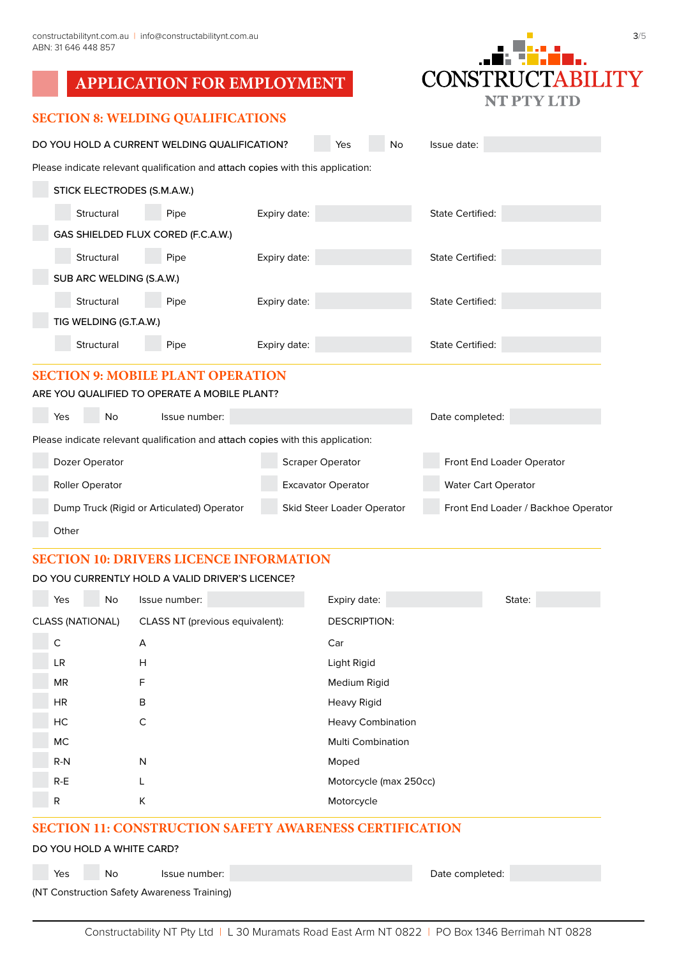|                         | 3/5 |
|-------------------------|-----|
| .                       |     |
| . <del>.</del>          |     |
| <b>CONSTRUCTABILITY</b> |     |
| NT PTY LTD              |     |

| <b>SECTION 8: WELDING QUALIFICATIONS</b> |  |  |  |
|------------------------------------------|--|--|--|
|------------------------------------------|--|--|--|

| DO YOU HOLD A CURRENT WELDING QUALIFICATION?                                    |                                    | Yes                       | No | Issue date:                         |                         |                           |  |  |
|---------------------------------------------------------------------------------|------------------------------------|---------------------------|----|-------------------------------------|-------------------------|---------------------------|--|--|
| Please indicate relevant qualification and attach copies with this application: |                                    |                           |    |                                     |                         |                           |  |  |
| STICK ELECTRODES (S.M.A.W.)                                                     |                                    |                           |    |                                     |                         |                           |  |  |
| Structural                                                                      | Pipe                               | Expiry date:              |    |                                     | <b>State Certified:</b> |                           |  |  |
|                                                                                 | GAS SHIELDED FLUX CORED (F.C.A.W.) |                           |    |                                     |                         |                           |  |  |
| Structural                                                                      | Pipe                               | Expiry date:              |    |                                     | <b>State Certified:</b> |                           |  |  |
| SUB ARC WELDING (S.A.W.)                                                        |                                    |                           |    |                                     |                         |                           |  |  |
| Structural                                                                      | Pipe                               | Expiry date:              |    |                                     | <b>State Certified:</b> |                           |  |  |
| TIG WELDING (G.T.A.W.)                                                          |                                    |                           |    |                                     |                         |                           |  |  |
| Structural                                                                      | Pipe                               | Expiry date:              |    |                                     | <b>State Certified:</b> |                           |  |  |
| <b>SECTION 9: MOBILE PLANT OPERATION</b>                                        |                                    |                           |    |                                     |                         |                           |  |  |
| ARE YOU QUALIFIED TO OPERATE A MOBILE PLANT?                                    |                                    |                           |    |                                     |                         |                           |  |  |
| Yes<br>No                                                                       | Issue number:                      |                           |    |                                     | Date completed:         |                           |  |  |
| Please indicate relevant qualification and attach copies with this application: |                                    |                           |    |                                     |                         |                           |  |  |
| Dozer Operator                                                                  |                                    | <b>Scraper Operator</b>   |    |                                     |                         | Front End Loader Operator |  |  |
| <b>Roller Operator</b>                                                          |                                    | <b>Excavator Operator</b> |    | <b>Water Cart Operator</b>          |                         |                           |  |  |
| Dump Truck (Rigid or Articulated) Operator                                      | <b>Skid Steer Loader Operator</b>  |                           |    | Front End Loader / Backhoe Operator |                         |                           |  |  |

# **Other**

# **SECTION 10: DRIVERS LICENCE INFORMATION**

#### DO YOU CURRENTLY HOLD A VALID DRIVER'S LICENCE?

| Yes                     | No | Issue number:                   | Expiry date:             | State: |
|-------------------------|----|---------------------------------|--------------------------|--------|
| <b>CLASS (NATIONAL)</b> |    | CLASS NT (previous equivalent): | <b>DESCRIPTION:</b>      |        |
| C                       |    | А                               | Car                      |        |
| LR                      |    | H                               | Light Rigid              |        |
| MR                      |    | F                               | Medium Rigid             |        |
| <b>HR</b>               |    | B                               | Heavy Rigid              |        |
| HC                      |    | C                               | <b>Heavy Combination</b> |        |
| МC                      |    |                                 | <b>Multi Combination</b> |        |
| $R-N$                   |    | N                               | Moped                    |        |
| $R-E$                   |    | ┗                               | Motorcycle (max 250cc)   |        |
| R                       |    | K                               | Motorcycle               |        |

# **SECTION 11: CONSTRUCTION SAFETY AWARENESS CERTIFICATION**

# DO YOU HOLD A WHITE CARD?

**Yes No Issue number:** No Issue number:  $\blacksquare$  Date completed:

(NT Construction Safety Awareness Training)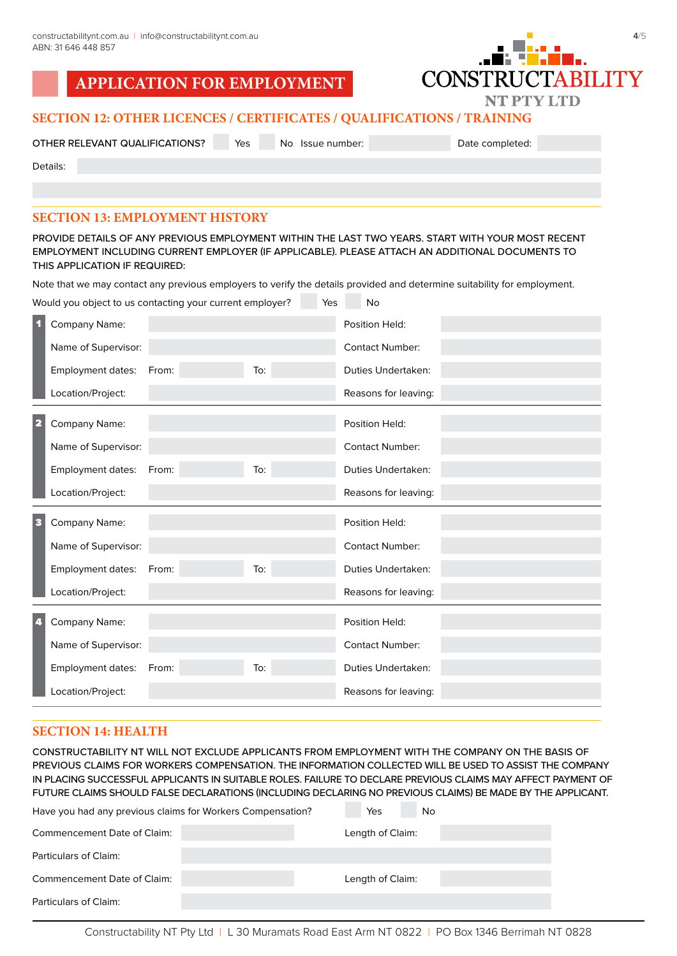**APPLICATION FOR EI** 

|                  | -omr           |
|------------------|----------------|
| <b>MPLOYMENT</b> | <b>CONSTRU</b> |
|                  |                |



# **SECTION 12: OTHER LICENCES / CERTIFICATES / QUALIFICATIONS / TRAINING**

OTHER RELEVANT QUALIFICATIONS? Yes No Issue number: Date completed:

Details:

# **SECTION 13: EMPLOYMENT HISTORY**

PROVIDE DETAILS OF ANY PREVIOUS EMPLOYMENT WITHIN THE LAST TWO YEARS. START WITH YOUR MOST RECENT EMPLOYMENT INCLUDING CURRENT EMPLOYER (IF APPLICABLE). PLEASE ATTACH AN ADDITIONAL DOCUMENTS TO THIS APPLICATION IF REQUIRED:

Note that we may contact any previous employers to verify the details provided and determine suitability for employment.

| Would you object to us contacting your current employer?<br>Yes<br>No |                     |       |     |                           |
|-----------------------------------------------------------------------|---------------------|-------|-----|---------------------------|
|                                                                       | Company Name:       |       |     | Position Held:            |
|                                                                       | Name of Supervisor: |       |     | <b>Contact Number:</b>    |
|                                                                       | Employment dates:   | From: | To: | Duties Undertaken:        |
|                                                                       | Location/Project:   |       |     | Reasons for leaving:      |
| 2                                                                     | Company Name:       |       |     | Position Held:            |
|                                                                       | Name of Supervisor: |       |     | <b>Contact Number:</b>    |
|                                                                       | Employment dates:   | From: | To: | Duties Undertaken:        |
|                                                                       | Location/Project:   |       |     | Reasons for leaving:      |
|                                                                       |                     |       |     |                           |
| з                                                                     | Company Name:       |       |     | Position Held:            |
|                                                                       | Name of Supervisor: |       |     | <b>Contact Number:</b>    |
|                                                                       | Employment dates:   | From: | To: | Duties Undertaken:        |
|                                                                       | Location/Project:   |       |     | Reasons for leaving:      |
| 41                                                                    | Company Name:       |       |     | Position Held:            |
|                                                                       | Name of Supervisor: |       |     | <b>Contact Number:</b>    |
|                                                                       | Employment dates:   | From: | To: | <b>Duties Undertaken:</b> |

# **SECTION 14: HEALTH**

CONSTRUCTABILITY NT WILL NOT EXCLUDE APPLICANTS FROM EMPLOYMENT WITH THE COMPANY ON THE BASIS OF PREVIOUS CLAIMS FOR WORKERS COMPENSATION. THE INFORMATION COLLECTED WILL BE USED TO ASSIST THE COMPANY IN PLACING SUCCESSFUL APPLICANTS IN SUITABLE ROLES. FAILURE TO DECLARE PREVIOUS CLAIMS MAY AFFECT PAYMENT OF FUTURE CLAIMS SHOULD FALSE DECLARATIONS (INCLUDING DECLARING NO PREVIOUS CLAIMS) BE MADE BY THE APPLICANT.

| Have you had any previous claims for Workers Compensation? |  |  | Yes              | No |
|------------------------------------------------------------|--|--|------------------|----|
| Commencement Date of Claim:                                |  |  | Length of Claim: |    |
| <b>Particulars of Claim:</b>                               |  |  |                  |    |
| Commencement Date of Claim:                                |  |  | Length of Claim: |    |
| Particulars of Claim:                                      |  |  |                  |    |
|                                                            |  |  |                  |    |